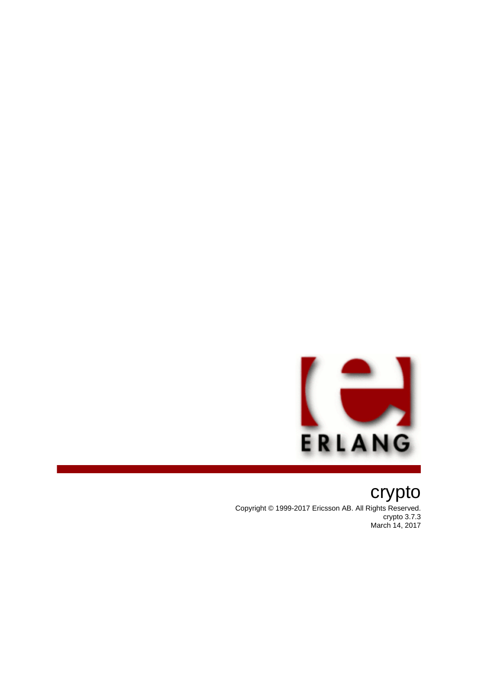

crypto Copyright © 1999-2017 Ericsson AB. All Rights Reserved. crypto 3.7.3 March 14, 2017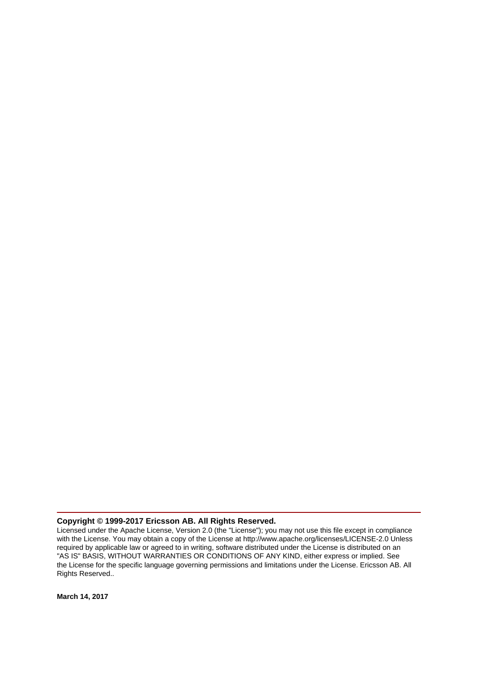#### **Copyright © 1999-2017 Ericsson AB. All Rights Reserved.**

Licensed under the Apache License, Version 2.0 (the "License"); you may not use this file except in compliance with the License. You may obtain a copy of the License at http://www.apache.org/licenses/LICENSE-2.0 Unless required by applicable law or agreed to in writing, software distributed under the License is distributed on an "AS IS" BASIS, WITHOUT WARRANTIES OR CONDITIONS OF ANY KIND, either express or implied. See the License for the specific language governing permissions and limitations under the License. Ericsson AB. All Rights Reserved..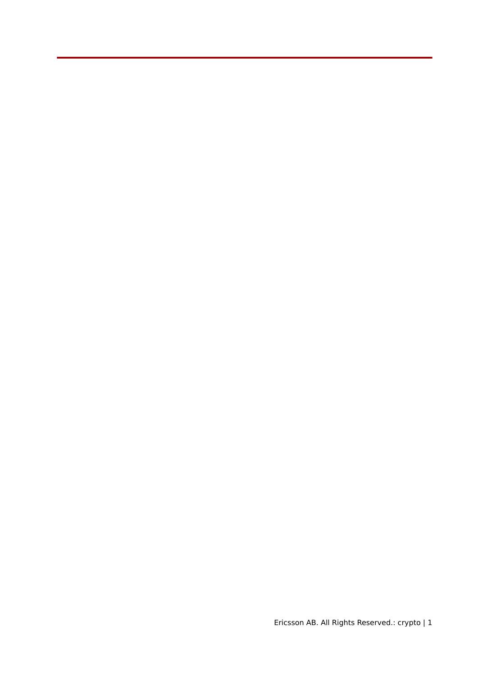Ericsson AB. All Rights Reserved.: crypto | 1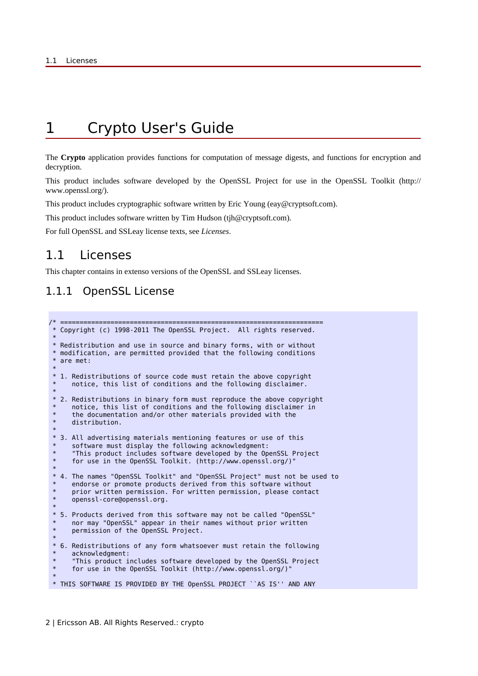# 1 Crypto User's Guide

The **Crypto** application provides functions for computation of message digests, and functions for encryption and decryption.

This product includes software developed by the OpenSSL Project for use in the OpenSSL Toolkit (http:// www.openssl.org/).

This product includes cryptographic software written by Eric Young (eay@cryptsoft.com).

This product includes software written by Tim Hudson (tjh@cryptsoft.com).

For full OpenSSL and SSLeay license texts, see *Licenses*.

# 1.1 Licenses

This chapter contains in extenso versions of the OpenSSL and SSLeay licenses.

# 1.1.1 OpenSSL License

| ′*                                             |       | ==============                                                                                                                                                                                                                                             |
|------------------------------------------------|-------|------------------------------------------------------------------------------------------------------------------------------------------------------------------------------------------------------------------------------------------------------------|
| $\ast$                                         |       | * Copyright (c) 1998-2011 The OpenSSL Project. All rights reserved.                                                                                                                                                                                        |
| $\ast$                                         |       | * Redistribution and use in source and binary forms, with or without<br>* modification, are permitted provided that the following conditions<br>$*$ are met:                                                                                               |
| $\ast$<br>$\ast$                               |       | * 1. Redistributions of source code must retain the above copyright<br>notice, this list of conditions and the following disclaimer.                                                                                                                       |
| $\ast$<br>$\ast$<br>$\ast$<br>$\ast$           |       | * 2. Redistributions in binary form must reproduce the above copyright<br>notice, this list of conditions and the following disclaimer in<br>the documentation and/or other materials provided with the<br>distribution.                                   |
| $\ast$<br>$\ast$<br>$\ast$<br>$\ast$           |       | * 3. All advertising materials mentioning features or use of this<br>software must display the following acknowledgment:<br>"This product includes software developed by the OpenSSL Project<br>for use in the OpenSSL Toolkit. (http://www.openssl.org/)" |
| $\ast$<br>$\ast$<br>$\ast$<br>$\ast$           | $*4.$ | The names "OpenSSL Toolkit" and "OpenSSL Project" must not be used to<br>endorse or promote products derived from this software without<br>prior written permission. For written permission, please contact<br>openssl-core@openssl.org.                   |
| $\ast$<br>$\ast$<br>$\ast$                     |       | * 5. Products derived from this software may not be called "OpenSSL"<br>nor may "OpenSSL" appear in their names without prior written<br>permission of the OpenSSL Project.                                                                                |
| $\ast$<br>$\ast$<br>$\ast$<br>$\ast$<br>$\ast$ |       | 6. Redistributions of any form whatsoever must retain the following<br>acknowledgment:<br>"This product includes software developed by the OpenSSL Project<br>for use in the OpenSSL Toolkit (http://www.openssl.org/)"                                    |
|                                                |       | * THIS SOFTWARE IS PROVIDED BY THE OpenSSL PROJECT ``AS IS'' AND ANY                                                                                                                                                                                       |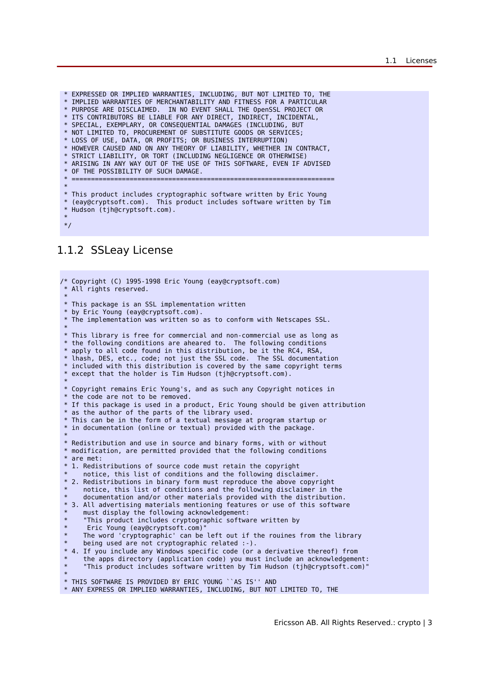\* EXPRESSED OR IMPLIED WARRANTIES, INCLUDING, BUT NOT LIMITED TO, THE \* IMPLIED WARRANTIES OF MERCHANTABILITY AND FITNESS FOR A PARTICULAR \* PURPOSE ARE DISCLAIMED. IN NO EVENT SHALL THE OpenSSL PROJECT OR \* ITS CONTRIBUTORS BE LIABLE FOR ANY DIRECT, INDIRECT, INCIDENTAL, \* SPECIAL, EXEMPLARY, OR CONSEQUENTIAL DAMAGES (INCLUDING, BUT \* NOT LIMITED TO, PROCUREMENT OF SUBSTITUTE GOODS OR SERVICES; \* LOSS OF USE, DATA, OR PROFITS; OR BUSINESS INTERRUPTION) \* HOWEVER CAUSED AND ON ANY THEORY OF LIABILITY, WHETHER IN CONTRACT, \* STRICT LIABILITY, OR TORT (INCLUDING NEGLIGENCE OR OTHERWISE) \* ARISING IN ANY WAY OUT OF THE USE OF THIS SOFTWARE, EVEN IF ADVISED \* OF THE POSSIBILITY OF SUCH DAMAGE. \* ==================================================================== \* \* This product includes cryptographic software written by Eric Young \* (eay@cryptsoft.com). This product includes software written by Tim \* Hudson (tjh@cryptsoft.com). \* \*/

### 1.1.2 SSLeay License

```
/* Copyright (C) 1995-1998 Eric Young (eay@cryptsoft.com)
 * All rights reserved.
 *
* This package is an SSL implementation written
 * by Eric Young (eay@cryptsoft.com).
 * The implementation was written so as to conform with Netscapes SSL.
 * 
 * This library is free for commercial and non-commercial use as long as
 * the following conditions are aheared to. The following conditions
 * apply to all code found in this distribution, be it the RC4, RSA,
 * lhash, DES, etc., code; not just the SSL code. The SSL documentation
 * included with this distribution is covered by the same copyright terms
 * except that the holder is Tim Hudson (tjh@cryptsoft.com).
 * 
 * Copyright remains Eric Young's, and as such any Copyright notices in
 * the code are not to be removed.
 * If this package is used in a product, Eric Young should be given attribution
 * as the author of the parts of the library used.
 * This can be in the form of a textual message at program startup or
 * in documentation (online or textual) provided with the package.
 * 
 * Redistribution and use in source and binary forms, with or without
 * modification, are permitted provided that the following conditions
 * are met:
 * 1. Redistributions of source code must retain the copyright
     notice, this list of conditions and the following disclaimer.
 * 2. Redistributions in binary form must reproduce the above copyright
     notice, this list of conditions and the following disclaimer in the
     documentation and/or other materials provided with the distribution.
  3. All advertising materials mentioning features or use of this software
     must display the following acknowledgement:
      "This product includes cryptographic software written by
      Eric Young (eay@cryptsoft.com)
      The word 'cryptographic' can be left out if the rouines from the library
     being used are not cryptographic related :-).
 * 4. If you include any Windows specific code (or a derivative thereof) from 
      the apps directory (application code) you must include an acknowledgement:
       * "This product includes software written by Tim Hudson (tjh@cryptsoft.com)"
 * 
 * THIS SOFTWARE IS PROVIDED BY ERIC YOUNG ``AS IS'' AND
 * ANY EXPRESS OR IMPLIED WARRANTIES, INCLUDING, BUT NOT LIMITED TO, THE
```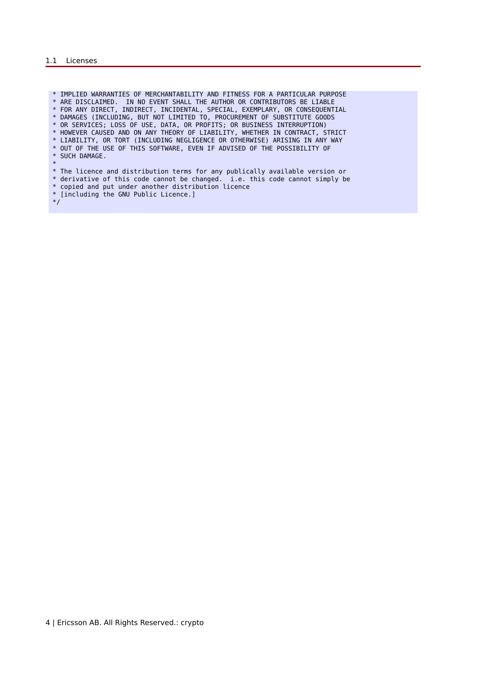\* IMPLIED WARRANTIES OF MERCHANTABILITY AND FITNESS FOR A PARTICULAR PURPOSE \* ARE DISCLAIMED. IN NO EVENT SHALL THE AUTHOR OR CONTRIBUTORS BE LIABLE \* FOR ANY DIRECT, INDIRECT, INCIDENTAL, SPECIAL, EXEMPLARY, OR CONSEQUENTIAL \* DAMAGES (INCLUDING, BUT NOT LIMITED TO, PROCUREMENT OF SUBSTITUTE GOODS \* OR SERVICES; LOSS OF USE, DATA, OR PROFITS; OR BUSINESS INTERRUPTION) \* HOWEVER CAUSED AND ON ANY THEORY OF LIABILITY, WHETHER IN CONTRACT, STRICT \* LIABILITY, OR TORT (INCLUDING NEGLIGENCE OR OTHERWISE) ARISING IN ANY WAY \* OUT OF THE USE OF THIS SOFTWARE, EVEN IF ADVISED OF THE POSSIBILITY OF \* SUCH DAMAGE. \* \* The licence and distribution terms for any publically available version or \* derivative of this code cannot be changed. i.e. this code cannot simply be \* copied and put under another distribution licence \* [including the GNU Public Licence.] \*/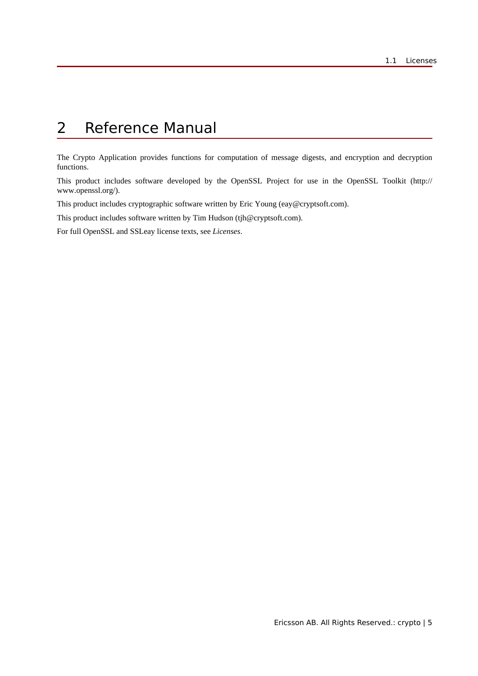# 2 Reference Manual

The Crypto Application provides functions for computation of message digests, and encryption and decryption functions.

This product includes software developed by the OpenSSL Project for use in the OpenSSL Toolkit (http:// www.openssl.org/).

This product includes cryptographic software written by Eric Young (eay@cryptsoft.com).

This product includes software written by Tim Hudson (tjh@cryptsoft.com).

For full OpenSSL and SSLeay license texts, see *Licenses*.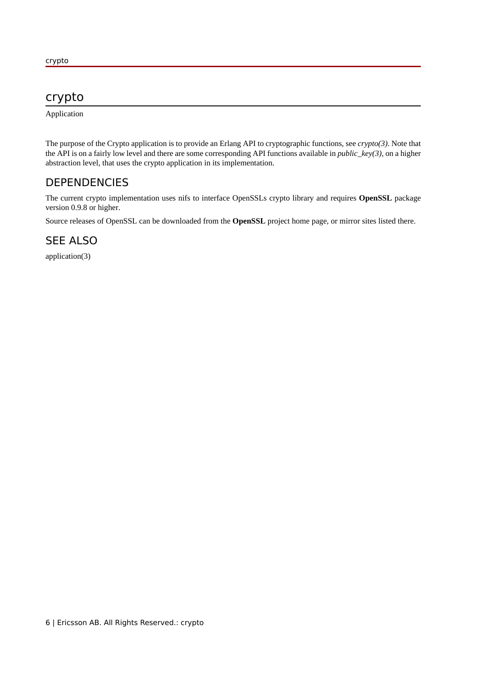Application

The purpose of the Crypto application is to provide an Erlang API to cryptographic functions, see *crypto(3)*. Note that the API is on a fairly low level and there are some corresponding API functions available in *public\_key(3)*, on a higher abstraction level, that uses the crypto application in its implementation.

## **DEPENDENCIES**

The current crypto implementation uses nifs to interface OpenSSLs crypto library and requires **OpenSSL** package version 0.9.8 or higher.

Source releases of OpenSSL can be downloaded from the **[OpenSSL](href)** project home page, or mirror sites listed there.

# SEE ALSO

application(3)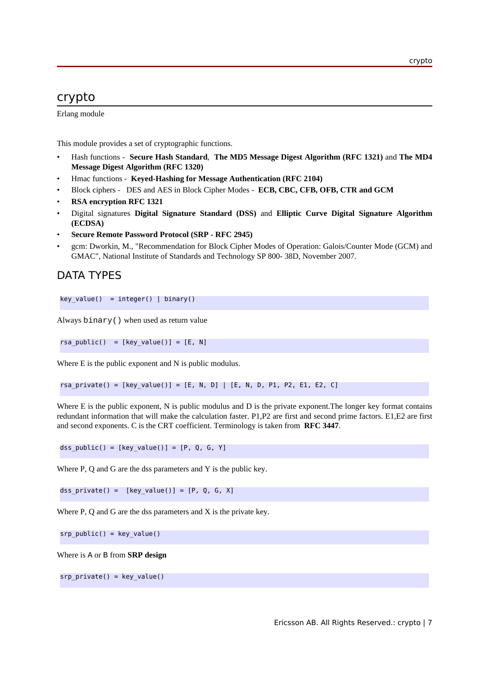Erlang module

This module provides a set of cryptographic functions.

- Hash functions **[Secure Hash Standard](href)**, **[The MD5 Message Digest Algorithm \(RFC 1321\)](href)** and **[The MD4](href) [Message Digest Algorithm \(RFC 1320\)](href)**
- Hmac functions **[Keyed-Hashing for Message Authentication \(RFC 2104\)](href)**
- Block ciphers -DES and AES in Block Cipher Modes **[ECB, CBC, CFB, OFB, CTR and GCM](href)**
- **[RSA encryption RFC 1321](href)**
- Digital signatures **[Digital Signature Standard \(DSS\)](href)** and **[Elliptic Curve Digital Signature Algorithm](href) [\(ECDSA\)](href)**
- **[Secure Remote Password Protocol \(SRP RFC 2945\)](href)**
- gcm: Dworkin, M., "Recommendation for Block Cipher Modes of Operation: Galois/Counter Mode (GCM) and GMAC", National Institute of Standards and Technology SP 800- 38D, November 2007.

### DATA TYPES

```
key_value() = integer() | binary()
```
Always binary() when used as return value

 $rsa\_public() = [key_value()] = [E, N]$ 

Where E is the public exponent and N is public modulus.

rsa\_private() = [key\_value()] = [E, N, D] | [E, N, D, P1, P2, E1, E2, C]

Where E is the public exponent, N is public modulus and D is the private exponent. The longer key format contains redundant information that will make the calculation faster. P1,P2 are first and second prime factors. E1,E2 are first and second exponents. C is the CRT coefficient. Terminology is taken from **[RFC 3447](href)**.

 $dss\_public() = [key\_value()] = [P, Q, G, Y]$ 

Where P, Q and G are the dss parameters and Y is the public key.

dss\_private() =  $[key_value()] = [P, Q, G, X]$ 

Where P, Q and G are the dss parameters and X is the private key.

srp  $public() = key value()$ 

Where is A or B from **[SRP design](href)**

srp\_private() = key\_value()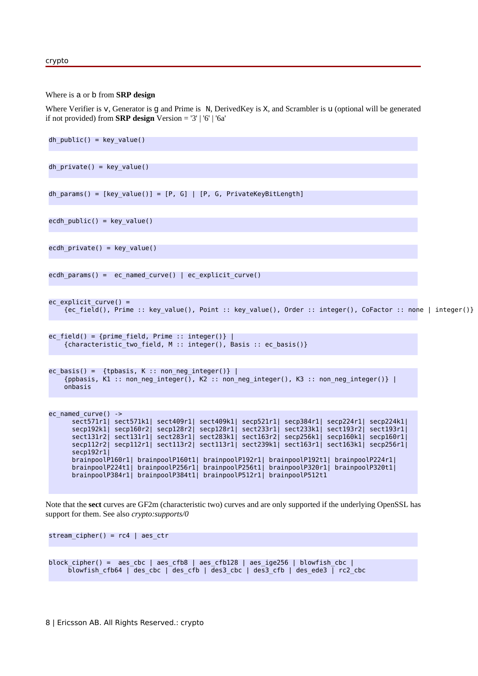#### Where is a or b from **[SRP design](href)**

Where Verifier is  $v$ , Generator is g and Prime is  $N$ , DerivedKey is X, and Scrambler is u (optional will be generated if not provided) from **[SRP design](href)** Version = '3' | '6' | '6a'

```
dh public() = key value()
dh private() = key value()
dh\_params() = [key\_value()] = [P, G] | [P, G, PrivateKeyBitLength]ecdh public() = key value()ecdh_private() = key_value() 
ecdh_params() = ec_named_curve() | ec_explicit_curve()
ec explicit curve() =
    {ec_field(), Prime :: key_value(), Point :: key_value(), Order :: integer(), CoFactor :: none | integer()} 
ec field() = {prime field, Prime :: integer()} |
    {characteristic_two_field, M :: integer(), Basis :: ec_basis()}
ec_basis() = {tpbasis, K :: non-neg_interest() }{ppbasis, K1 :: non_neg_integer(), K2 :: non_neg_integer(), K3 :: non_neg_integer()} |
    onbasis
ec named curve() ->
      sect571r1| sect571k1| sect409r1| sect409k1| secp521r1| secp384r1| secp224r1| secp224k1|
 secp192k1| secp160r2| secp128r2| secp128r1| sect233r1| sect233k1| sect193r2| sect193r1|
 sect131r2| sect131r1| sect283r1| sect283k1| sect163r2| secp256k1| secp160k1| secp160r1|
      secp112r2| secp112r1| sect113r2| sect113r1| sect239k1| sect163r1| sect163k1| secp256r1|
      secp192r1|
 brainpoolP160r1| brainpoolP160t1| brainpoolP192r1| brainpoolP192t1| brainpoolP224r1|
 brainpoolP224t1| brainpoolP256r1| brainpoolP256t1| brainpoolP320r1| brainpoolP320t1|
      brainpoolP384r1| brainpoolP384t1| brainpoolP512r1| brainpoolP512t1
```
Note that the **sect** curves are GF2m (characteristic two) curves and are only supported if the underlying OpenSSL has support for them. See also *crypto:supports/0*

stream cipher() =  $rc4$  | aes ctr

```
block_cipher() = aes_cbc | aes_cfb8 | aes_cfb128 | aes_ige256 | blowfish_cbc |
     \overline{b}lowfish cfb64 | des cbc | des cfb | des3 cbc | des3 cfb | des ede3 | rc2 cbc
```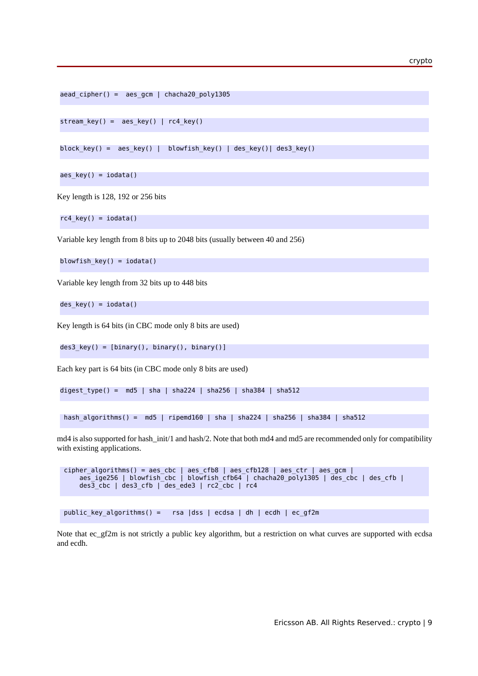```
aead cipher() = aes gcm | chacha20 poly1305
```

```
stream key() = aes key() | rc4 key()
```
block key() = aes key() | blowfish key() | des key() des3 key()

aes  $key() = iodata()$ 

Key length is 128, 192 or 256 bits

 $rc4$  key() = iodata()

Variable key length from 8 bits up to 2048 bits (usually between 40 and 256)

 $blowfish\_key() = iodata()$ 

Variable key length from 32 bits up to 448 bits

des  $key() = iodata()$ 

Key length is 64 bits (in CBC mode only 8 bits are used)

des3\_key() = [binary(), binary(), binary()]

Each key part is 64 bits (in CBC mode only 8 bits are used)

digest\_type() =  $md5$  | sha | sha224 | sha256 | sha384 | sha512

hash\_algorithms() = md5 | ripemd160 | sha | sha224 | sha256 | sha384 | sha512

md4 is also supported for hash init/1 and hash/2. Note that both md4 and md5 are recommended only for compatibility with existing applications.

```
cipher\_algorithms() = aes\_cbc \mid aes\_cfb8 \mid aes\_cfb128 \mid aes\_ctr \mid aes\_gcm \mid aes_ige256 | blowfish_cbc | blowfish_cfb64 | chacha20_poly1305 | des_cbc | des_cfb |
     des3_cbc | des3_cfb | des_ede3 | rc2_cbc | rc4
```
public\_key\_algorithms() = rsa |dss | ecdsa | dh | ecdh | ec\_gf2m

Note that ec\_gf2m is not strictly a public key algorithm, but a restriction on what curves are supported with ecdsa and ecdh.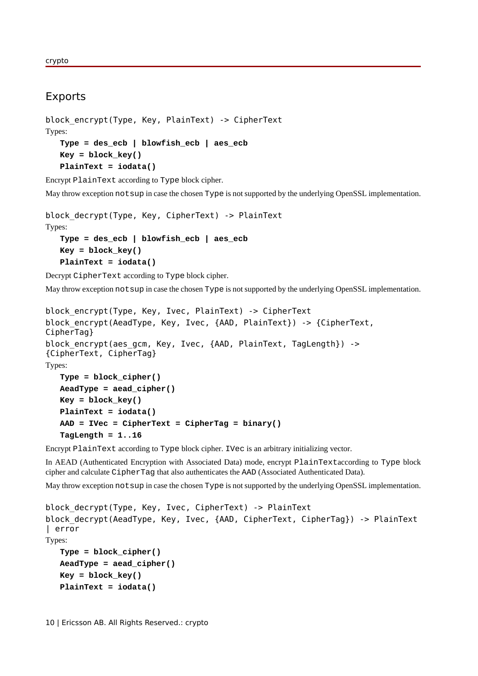### Exports

```
block_encrypt(Type, Key, PlainText) -> CipherText
Types:
   Type = des_ecb | blowfish_ecb | aes_ecb
   Key = block_key()
   PlainText = iodata()
```
Encrypt PlainText according to Type block cipher.

May throw exception notsup in case the chosen Type is not supported by the underlying OpenSSL implementation.

```
block_decrypt(Type, Key, CipherText) -> PlainText
Types:
   Type = des_ecb | blowfish_ecb | aes_ecb
```

```
Key = block_key()
PlainText = iodata()
```
Decrypt CipherText according to Type block cipher.

May throw exception notsup in case the chosen Type is not supported by the underlying OpenSSL implementation.

```
block encrypt(Type, Key, Ivec, PlainText) -> CipherText
block encrypt(AeadType, Key, Ivec, {AAD, PlainText}) -> {CipherText,
CipherTag}
block encrypt(aes gcm, Key, Ivec, {AAD, PlainText, TagLength}) ->
{CipherText, CipherTag}
Types:
   Type = block_cipher()
   AeadType = aead_cipher()
  Key = block_key()
   PlainText = iodata()
   AAD = IVec = CipherText = CipherTag = binary()
   TagLength = 1..16
```
Encrypt PlainText according to Type block cipher. IVec is an arbitrary initializing vector.

In AEAD (Authenticated Encryption with Associated Data) mode, encrypt PlainTextaccording to Type block cipher and calculate CipherTag that also authenticates the AAD (Associated Authenticated Data).

May throw exception notsup in case the chosen Type is not supported by the underlying OpenSSL implementation.

```
block_decrypt(Type, Key, Ivec, CipherText) -> PlainText
block_decrypt(AeadType, Key, Ivec, {AAD, CipherText, CipherTag}) -> PlainText
| error
Types:
   Type = block_cipher()
   AeadType = aead_cipher()
  Key = block_key()
   PlainText = iodata()
```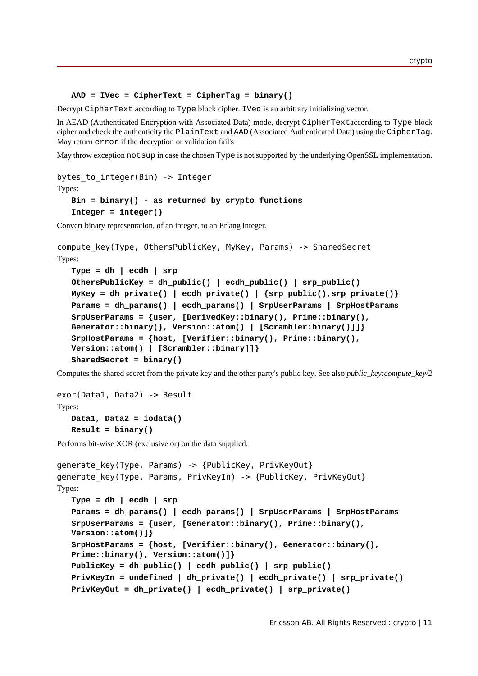#### **AAD = IVec = CipherText = CipherTag = binary()**

Decrypt CipherText according to Type block cipher. IVec is an arbitrary initializing vector.

In AEAD (Authenticated Encryption with Associated Data) mode, decrypt CipherTextaccording to Type block cipher and check the authenticity the PlainText and AAD (Associated Authenticated Data) using the CipherTag. May return error if the decryption or validation fail's

May throw exception notsup in case the chosen Type is not supported by the underlying OpenSSL implementation.

```
bytes to integer(Bin) - Integer
Types:
   Bin = binary() - as returned by crypto functions
   Integer = integer()
Convert binary representation, of an integer, to an Erlang integer.
compute_key(Type, OthersPublicKey, MyKey, Params) -> SharedSecret
Types:
```

```
Type = dh | ecdh | srp
OthersPublicKey = dh_public() | ecdh_public() | srp_public()
MyKey = dh_private() | ecdh_private() | {srp_public(),srp_private()}
Params = dh_params() | ecdh_params() | SrpUserParams | SrpHostParams
SrpUserParams = {user, [DerivedKey::binary(), Prime::binary(),
Generator::binary(), Version::atom() | [Scrambler:binary()]]}
SrpHostParams = {host, [Verifier::binary(), Prime::binary(),
Version::atom() | [Scrambler::binary]]}
SharedSecret = binary()
```
Computes the shared secret from the private key and the other party's public key. See also *public\_key:compute\_key/2*

```
exor(Data1, Data2) -> Result
Types:
   Data1, Data2 = iodata()
   Result = binary()
```
Performs bit-wise XOR (exclusive or) on the data supplied.

```
generate_key(Type, Params) -> {PublicKey, PrivKeyOut}
generate key(Type, Params, PrivKeyIn) -> {PublicKey, PrivKeyOut}
Types:
   Type = dh | ecdh | srp
   Params = dh_params() | ecdh_params() | SrpUserParams | SrpHostParams
   SrpUserParams = {user, [Generator::binary(), Prime::binary(),
   Version::atom()]}
   SrpHostParams = {host, [Verifier::binary(), Generator::binary(),
  Prime::binary(), Version::atom()]}
   PublicKey = dh_public() | ecdh_public() | srp_public()
  PrivKeyIn = undefined | dh_private() | ecdh_private() | srp_private()
   PrivKeyOut = dh_private() | ecdh_private() | srp_private()
```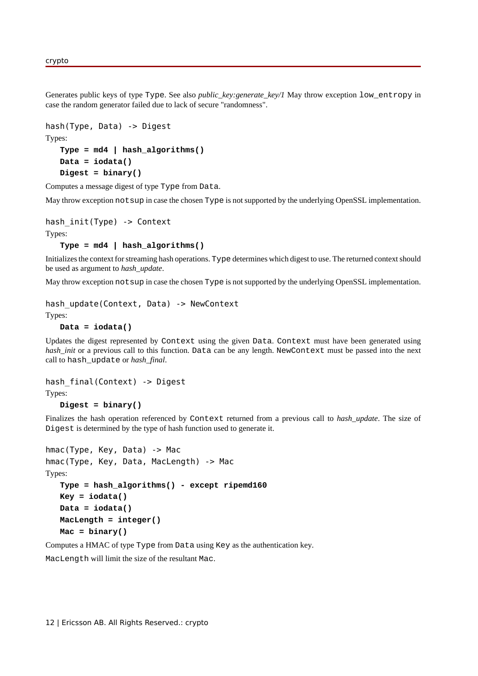Generates public keys of type Type. See also *public key:generate key/1* May throw exception low entropy in case the random generator failed due to lack of secure "randomness".

```
hash(Type, Data) -> Digest
Types:
   Type = md4 | hash_algorithms()
   Data = iodata()
   Digest = binary()
```
Computes a message digest of type Type from Data.

May throw exception notsup in case the chosen Type is not supported by the underlying OpenSSL implementation.

hash init(Type) -> Context

Types:

#### **Type = md4 | hash\_algorithms()**

Initializes the context for streaming hash operations. Type determines which digest to use. The returned context should be used as argument to *hash\_update*.

May throw exception notsup in case the chosen Type is not supported by the underlying OpenSSL implementation.

#### hash update(Context, Data) -> NewContext

Types:

#### **Data = iodata()**

Updates the digest represented by Context using the given Data. Context must have been generated using *hash\_init* or a previous call to this function. Data can be any length. NewContext must be passed into the next call to hash\_update or *hash\_final*.

```
hash_final(Context) -> Digest
Types:
```
#### **Digest = binary()**

Finalizes the hash operation referenced by Context returned from a previous call to *hash\_update*. The size of Digest is determined by the type of hash function used to generate it.

```
hmac(Type, Key, Data) -> Mac
hmac(Type, Key, Data, MacLength) -> Mac
Types:
   Type = hash_algorithms() - except ripemd160
   Key = iodata()
   Data = iodata()
   MacLength = integer()
   Mac = binary()
```
Computes a HMAC of type Type from Data using Key as the authentication key.

MacLength will limit the size of the resultant Mac.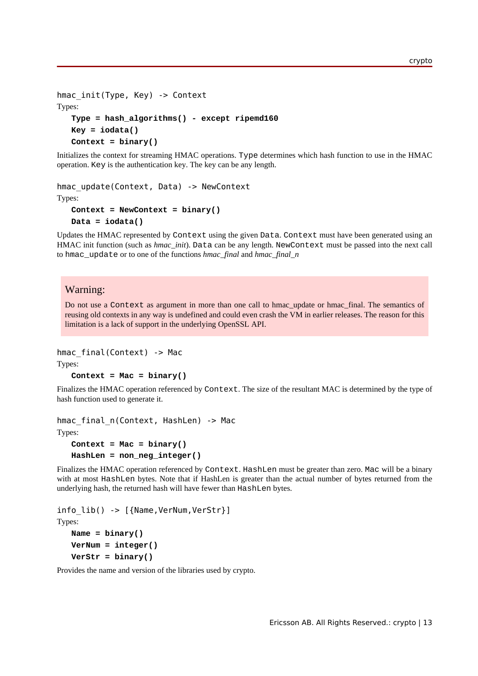```
hmac init(Type, Key) -> Context
Types:
   Type = hash_algorithms() - except ripemd160
   Key = iodata()
   Context = binary()
```
Initializes the context for streaming HMAC operations. Type determines which hash function to use in the HMAC operation. Key is the authentication key. The key can be any length.

```
hmac_update(Context, Data) -> NewContext
Types:
   Context = NewContext = binary()
```

```
Data = iodata()
```
Updates the HMAC represented by Context using the given Data. Context must have been generated using an HMAC init function (such as *hmac\_init*). Data can be any length. NewContext must be passed into the next call to hmac\_update or to one of the functions *hmac\_final* and *hmac\_final\_n*

### Warning:

Do not use a Context as argument in more than one call to hmac\_update or hmac\_final. The semantics of reusing old contexts in any way is undefined and could even crash the VM in earlier releases. The reason for this limitation is a lack of support in the underlying OpenSSL API.

hmac final(Context) -> Mac

Types:

```
Context = Mac = binary()
```
Finalizes the HMAC operation referenced by Context. The size of the resultant MAC is determined by the type of hash function used to generate it.

```
hmac final n(Context, HashLen) -> Mac
```
Types:

```
Context = Mac = binary()
HashLen = non_neg_integer()
```
Finalizes the HMAC operation referenced by Context. HashLen must be greater than zero. Mac will be a binary with at most HashLen bytes. Note that if HashLen is greater than the actual number of bytes returned from the underlying hash, the returned hash will have fewer than HashLen bytes.

info\_lib() -> [{Name,VerNum,VerStr}] Types:

```
Name = binary()
VerNum = integer()
VerStr = binary()
```
Provides the name and version of the libraries used by crypto.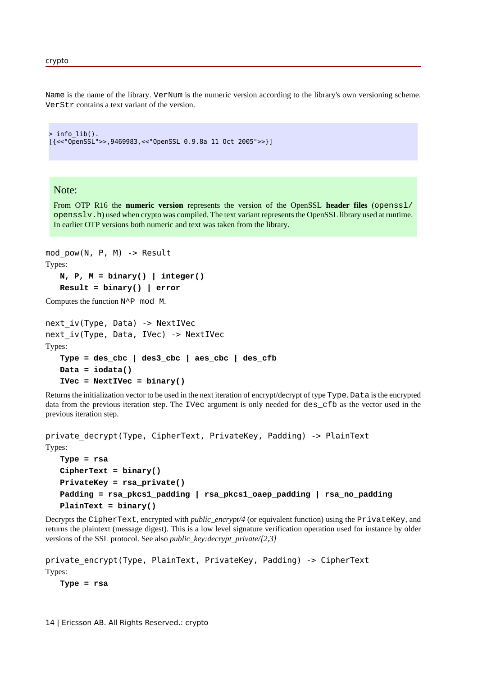Name is the name of the library. VerNum is the numeric version according to the library's own versioning scheme. VerStr contains a text variant of the version.

```
> info_lib().
[{<<"OpenSSL">>,9469983,<<"OpenSSL 0.9.8a 11 Oct 2005">>}]
```
#### Note:

From OTP R16 the **numeric version** represents the version of the OpenSSL **header files** (openssl/ opensslv.h) used when crypto was compiled. The text variant represents the OpenSSL library used at runtime. In earlier OTP versions both numeric and text was taken from the library.

```
mod pow(N, P, M) -> Result
Types:
   N, P, M = binary() | integer()
   Result = binary() | error
```
Computes the function N^P mod M.

```
next iv(Type, Data) -> NextIVec
next iv(Type, Data, IVec) -> NextIVec
Types:
   Type = des_cbc | des3_cbc | aes_cbc | des_cfb
   Data = iodata()
   IVec = NextIVec = binary()
```
Returns the initialization vector to be used in the next iteration of encrypt/decrypt of type Type. Data is the encrypted data from the previous iteration step. The IVec argument is only needed for des\_cfb as the vector used in the previous iteration step.

```
private_decrypt(Type, CipherText, PrivateKey, Padding) -> PlainText
```

```
Types:
   Type = rsa
   CipherText = binary()
   PrivateKey = rsa_private()
   Padding = rsa_pkcs1_padding | rsa_pkcs1_oaep_padding | rsa_no_padding
   PlainText = binary()
```
Decrypts the CipherText, encrypted with *public\_encrypt/4* (or equivalent function) using the PrivateKey, and returns the plaintext (message digest). This is a low level signature verification operation used for instance by older versions of the SSL protocol. See also *public\_key:decrypt\_private/[2,3]*

```
private_encrypt(Type, PlainText, PrivateKey, Padding) -> CipherText
Types:
```
**Type = rsa**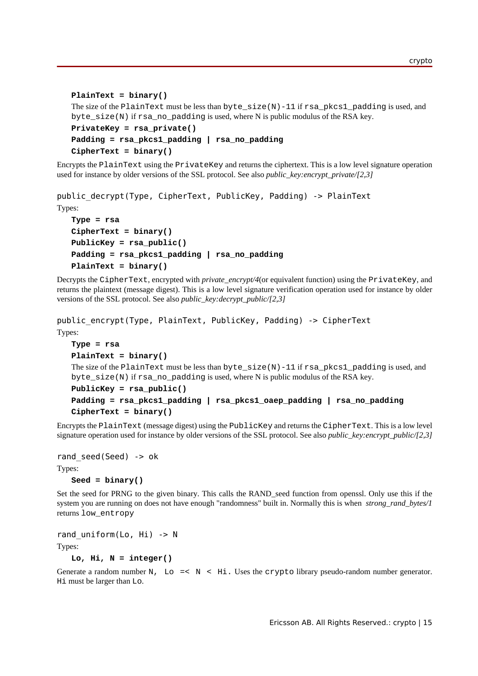```
PlainText = binary()
The size of the PlainText must be less than byte\_size(N)-11 if rsa\_pkcs1\_padding is used, and
byte_size(N) if rsa_no_padding is used, where N is public modulus of the RSA key.
PrivateKey = rsa_private()
Padding = rsa_pkcs1_padding | rsa_no_padding
```
**CipherText = binary()**

Encrypts the PlainText using the PrivateKey and returns the ciphertext. This is a low level signature operation used for instance by older versions of the SSL protocol. See also *public key:encrypt private*/[2,3]

```
public_decrypt(Type, CipherText, PublicKey, Padding) -> PlainText
Types:
   Type = rsa
   CipherText = binary()
   PublicKey = rsa_public()
```

```
Padding = rsa_pkcs1_padding | rsa_no_padding
PlainText = binary()
```
Decrypts the CipherText, encrypted with *private\_encrypt/4*(or equivalent function) using the PrivateKey, and returns the plaintext (message digest). This is a low level signature verification operation used for instance by older versions of the SSL protocol. See also *public\_key:decrypt\_public/[2,3]*

```
public_encrypt(Type, PlainText, PublicKey, Padding) -> CipherText
Types:
```

```
Type = rsa
PlainText = binary()
```
The size of the PlainText must be less than byte\_size(N)-11 if rsa\_pkcs1\_padding is used, and byte\_size(N) if rsa\_no\_padding is used, where N is public modulus of the RSA key.

```
PublicKey = rsa_public()
Padding = rsa_pkcs1_padding | rsa_pkcs1_oaep_padding | rsa_no_padding
CipherText = binary()
```
Encrypts the PlainText (message digest) using the PublicKey and returns the CipherText. This is a low level signature operation used for instance by older versions of the SSL protocol. See also *public key:encrypt* public/[2,3]

```
rand seed(Seed) -> ok
Types:
```

```
Seed = binary()
```
Set the seed for PRNG to the given binary. This calls the RAND\_seed function from openssl. Only use this if the system you are running on does not have enough "randomness" built in. Normally this is when *strong\_rand\_bytes/1* returns low\_entropy

```
rand uniform(Lo, Hi) \rightarrow N
Types:
   Lo, Hi, N = integer()
```
Generate a random number  $N$ , Lo =<  $N$  < Hi. Uses the crypto library pseudo-random number generator. Hi must be larger than Lo.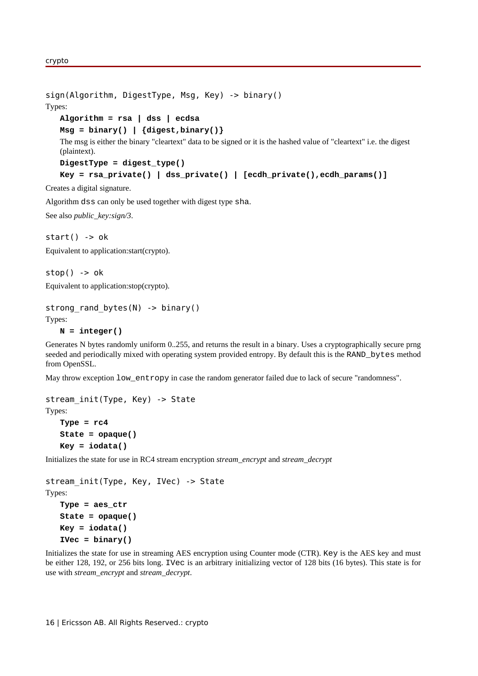```
sign(Algorithm, DigestType, Msg, Key) -> binary()
Types:
   Algorithm = rsa | dss | ecdsa
   Msg = binary() | {digest,binary()}
   The msg is either the binary "cleartext" data to be signed or it is the hashed value of "cleartext" i.e. the digest
   (plaintext).
   DigestType = digest_type()
   Key = rsa_private() | dss_private() | [ecdh_private(),ecdh_params()]
```
Creates a digital signature.

Algorithm dss can only be used together with digest type sha.

See also *public\_key:sign/3*.

 $start() \rightarrow ok$ 

Equivalent to application:start(crypto).

 $stop()$  ->  $ok$ 

Equivalent to application:stop(crypto).

```
strong rand bytes(N) \rightarrow binary()
```
Types:

```
N = integer()
```
Generates N bytes randomly uniform 0..255, and returns the result in a binary. Uses a cryptographically secure prng seeded and periodically mixed with operating system provided entropy. By default this is the RAND\_bytes method from OpenSSL.

May throw exception low\_entropy in case the random generator failed due to lack of secure "randomness".

```
stream init(Type, Key) -> State
Types:
   Type = rc4
```

```
State = opaque()
Key = iodata()
```
Initializes the state for use in RC4 stream encryption *stream\_encrypt* and *stream\_decrypt*

```
stream init(Type, Key, IVec) -> State
Types:
   Type = aes_ctr
   State = opaque()
   Key = iodata()
   IVec = binary()
```
Initializes the state for use in streaming AES encryption using Counter mode (CTR). Key is the AES key and must be either 128, 192, or 256 bits long. IVec is an arbitrary initializing vector of 128 bits (16 bytes). This state is for use with *stream\_encrypt* and *stream\_decrypt*.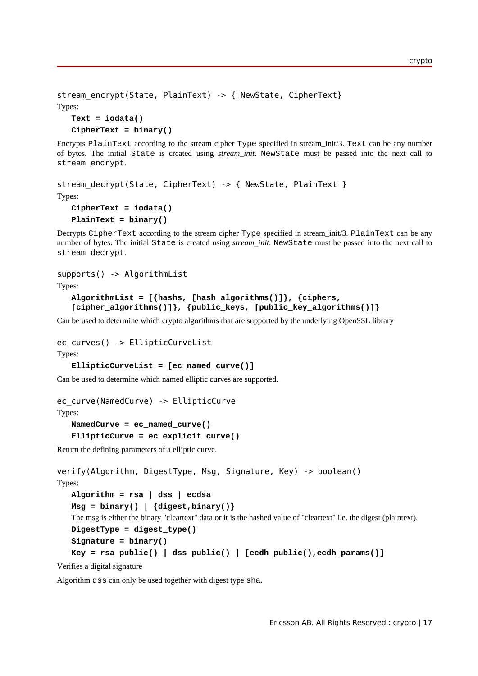```
stream encrypt(State, PlainText) -> { NewState, CipherText}
Types:
   Text = iodata()
```
**CipherText = binary()**

Encrypts PlainText according to the stream cipher Type specified in stream\_init/3. Text can be any number of bytes. The initial State is created using *stream\_init*. NewState must be passed into the next call to stream\_encrypt.

```
stream decrypt(State, CipherText) -> { NewState, PlainText }
Types:
   CipherText = iodata()
```
**PlainText = binary()**

Decrypts CipherText according to the stream cipher Type specified in stream\_init/3. PlainText can be any number of bytes. The initial State is created using *stream\_init*. NewState must be passed into the next call to stream\_decrypt.

```
supports() -> AlgorithmList
```
Types:

```
AlgorithmList = [{hashs, [hash_algorithms()]}, {ciphers,
[cipher_algorithms()]}, {public_keys, [public_key_algorithms()]}
```
Can be used to determine which crypto algorithms that are supported by the underlying OpenSSL library

```
ec_curves() -> EllipticCurveList
```
Types:

```
EllipticCurveList = [ec_named_curve()]
```
Can be used to determine which named elliptic curves are supported.

ec\_curve(NamedCurve) -> EllipticCurve

Types:

```
NamedCurve = ec_named_curve()
```

```
EllipticCurve = ec_explicit_curve()
```
Return the defining parameters of a elliptic curve.

```
verify(Algorithm, DigestType, Msg, Signature, Key) -> boolean()
Types:
```

```
Algorithm = rsa | dss | ecdsa
Msg = binary() | {digest,binary()}
The msg is either the binary "cleartext" data or it is the hashed value of "cleartext" i.e. the digest (plaintext).
DigestType = digest_type()
Signature = binary()
Key = rsa_public() | dss_public() | [ecdh_public(),ecdh_params()]
```
Verifies a digital signature

Algorithm dss can only be used together with digest type sha.